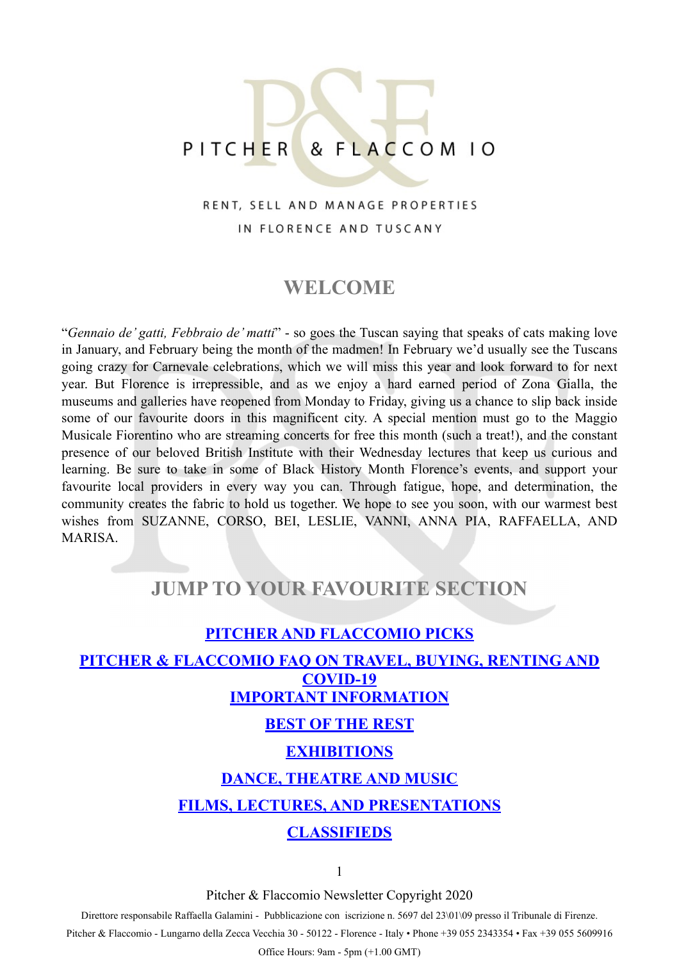# PITCHER & FLACCOM 10

# RENT, SELL AND MANAGE PROPERTIES IN FLORENCE AND TUSCANY

# **WELCOME**

"*Gennaio de' gatti, Febbraio de' matti*" - so goes the Tuscan saying that speaks of cats making love in January, and February being the month of the madmen! In February we'd usually see the Tuscans going crazy for Carnevale celebrations, which we will miss this year and look forward to for next year. But Florence is irrepressible, and as we enjoy a hard earned period of Zona Gialla, the museums and galleries have reopened from Monday to Friday, giving us a chance to slip back inside some of our favourite doors in this magnificent city. A special mention must go to the Maggio Musicale Fiorentino who are streaming concerts for free this month (such a treat!), and the constant presence of our beloved British Institute with their Wednesday lectures that keep us curious and learning. Be sure to take in some of Black History Month Florence's events, and support your favourite local providers in every way you can. Through fatigue, hope, and determination, the community creates the fabric to hold us together. We hope to see you soon, with our warmest best wishes from SUZANNE, CORSO, BEI, LESLIE, VANNI, ANNA PIA, RAFFAELLA, AND MARISA.

# **JUMP TO YOUR FAVOURITE SECTION**

# <span id="page-0-0"></span>**[PITCHER AND FLACCOMIO PICKS](#page-1-0) [PITCHER & FLACCOMIO FAQ ON TRAVEL, BUYING, RENTING AND](#page-0-0)  [COVID-19](#page-0-0) [IMPORTANT INFORMATION](#page-3-0) [BEST OF THE REST](#page-4-0) [EXHIBITIONS](#page-6-0) [DANCE, THEATRE AND MUSIC](#page-7-0) [FILMS, LECTURES, AND PRESENTATIONS](#page-9-0) [CLASSIFIEDS](#page-10-0)**

1

Pitcher & Flaccomio Newsletter Copyright 2020

Direttore responsabile Raffaella Galamini - Pubblicazione con iscrizione n. 5697 del 23\01\09 presso il Tribunale di Firenze.

Pitcher & Flaccomio - Lungarno della Zecca Vecchia 30 - 50122 - Florence - Italy • Phone +39 055 2343354 • Fax +39 055 5609916

Office Hours: 9am - 5pm (+1.00 GMT)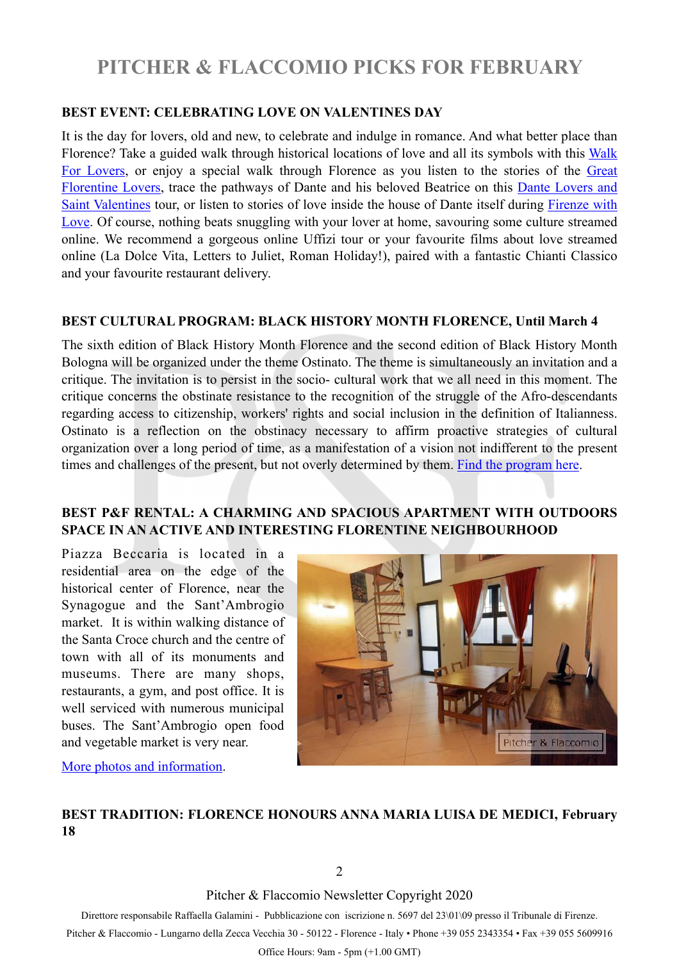# <span id="page-1-0"></span>**PITCHER & FLACCOMIO PICKS FOR FEBRUARY**

### **BEST EVENT: CELEBRATING LOVE ON VALENTINES DAY**

It is the day for lovers, old and new, to celebrate and indulge in romance. And what better place than Florence? Take a guided walk through historical locations of love and all its symbols with this [Walk](https://www.facebook.com/events/702359067117065/) [For Lovers,](https://www.facebook.com/events/702359067117065/) or enjoy a special walk through Florence as you listen to the stories of the [Great](https://www.facebook.com/events/2874160496161593) [Florentine Lovers,](https://www.facebook.com/events/2874160496161593) trace the pathways of Dante and his beloved Beatrice on this [Dante Lovers and](https://www.facebook.com/events/1325073911183339) [Saint Valentines](https://www.facebook.com/events/1325073911183339) tour, or listen to stories of love inside the house of Dante itself during [Firenze with](https://www.facebook.com/events/4206218176059786/) [Love.](https://www.facebook.com/events/4206218176059786/) Of course, nothing beats snuggling with your lover at home, savouring some culture streamed online. We recommend a gorgeous online Uffizi tour or your favourite films about love streamed online (La Dolce Vita, Letters to Juliet, Roman Holiday!), paired with a fantastic Chianti Classico and your favourite restaurant delivery.

### **BEST CULTURAL PROGRAM: BLACK HISTORY MONTH FLORENCE, Until March 4**

The sixth edition of Black History Month Florence and the second edition of Black History Month Bologna will be organized under the theme Ostinato. The theme is simultaneously an invitation and a critique. The invitation is to persist in the socio- cultural work that we all need in this moment. The critique concerns the obstinate resistance to the recognition of the struggle of the Afro-descendants regarding access to citizenship, workers' rights and social inclusion in the definition of Italianness. Ostinato is a reflection on the obstinacy necessary to affirm proactive strategies of cultural organization over a long period of time, as a manifestation of a vision not indifferent to the present times and challenges of the present, but not overly determined by them. [Find the program here.](http://blackhistorymonthflorence.com/index.php/project/bhmf-2021/)

## **BEST P&F RENTAL: A CHARMING AND SPACIOUS APARTMENT WITH OUTDOORS SPACE IN AN ACTIVE AND INTERESTING FLORENTINE NEIGHBOURHOOD**

Piazza Beccaria is located in a residential area on the edge of the historical center of Florence, near the Synagogue and the Sant'Ambrogio market. It is within walking distance of the Santa Croce church and the centre of town with all of its monuments and museums. There are many shops, restaurants, a gym, and post office. It is well serviced with numerous municipal buses. The Sant'Ambrogio open food and vegetable market is very near.



[More photos and information.](https://pitcherflaccomio.com/property/1550/)

# **BEST TRADITION: FLORENCE HONOURS ANNA MARIA LUISA DE MEDICI, February 18**

2

Pitcher & Flaccomio Newsletter Copyright 2020

Direttore responsabile Raffaella Galamini - Pubblicazione con iscrizione n. 5697 del 23\01\09 presso il Tribunale di Firenze.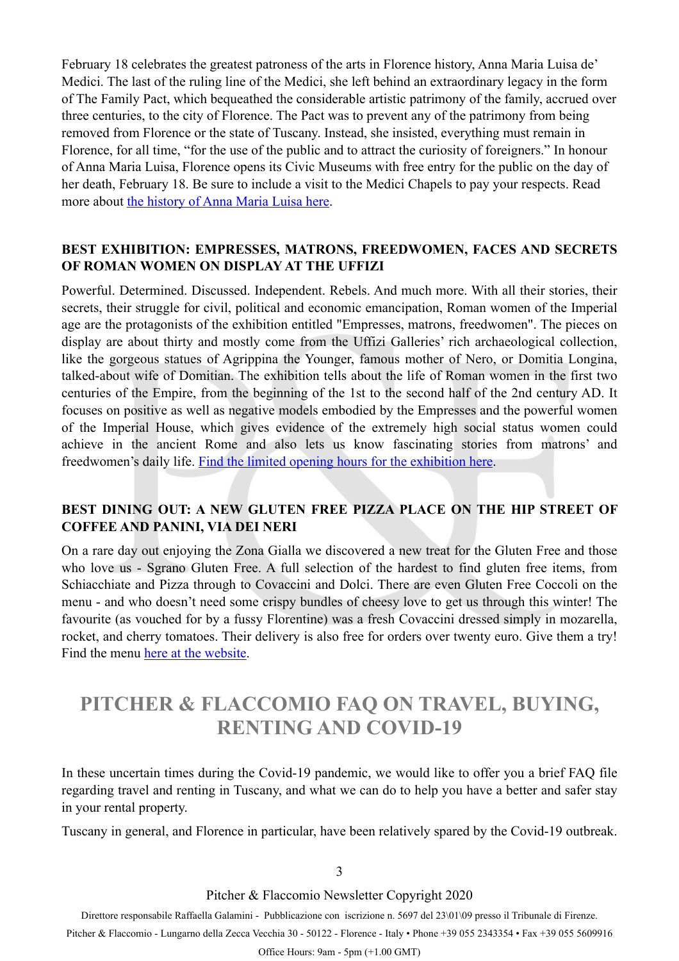February 18 celebrates the greatest patroness of the arts in Florence history, Anna Maria Luisa de' Medici. The last of the ruling line of the Medici, she left behind an extraordinary legacy in the form of The Family Pact, which bequeathed the considerable artistic patrimony of the family, accrued over three centuries, to the city of Florence. The Pact was to prevent any of the patrimony from being removed from Florence or the state of Tuscany. Instead, she insisted, everything must remain in Florence, for all time, "for the use of the public and to attract the curiosity of foreigners." In honour of Anna Maria Luisa, Florence opens its Civic Museums with free entry for the public on the day of her death, February 18. Be sure to include a visit to the Medici Chapels to pay your respects. Read more about [the history of Anna Maria Luisa here.](http://medicidynasty.com/anna-maria-luisa-de-medici-the-last-of-the-medici/)

## **BEST EXHIBITION: EMPRESSES, MATRONS, FREEDWOMEN, FACES AND SECRETS OF ROMAN WOMEN ON DISPLAY AT THE UFFIZI**

Powerful. Determined. Discussed. Independent. Rebels. And much more. With all their stories, their secrets, their struggle for civil, political and economic emancipation, Roman women of the Imperial age are the protagonists of the exhibition entitled "Empresses, matrons, freedwomen". The pieces on display are about thirty and mostly come from the Uffizi Galleries' rich archaeological collection, like the gorgeous statues of Agrippina the Younger, famous mother of Nero, or Domitia Longina, talked-about wife of Domitian. The exhibition tells about the life of Roman women in the first two centuries of the Empire, from the beginning of the 1st to the second half of the 2nd century AD. It focuses on positive as well as negative models embodied by the Empresses and the powerful women of the Imperial House, which gives evidence of the extremely high social status women could achieve in the ancient Rome and also lets us know fascinating stories from matrons' and freedwomen's daily life. [Find the limited opening hours for the exhibition here.](https://www.uffizi.it/en/events/empresses-matrons-freedwomen)

# **BEST DINING OUT: A NEW GLUTEN FREE PIZZA PLACE ON THE HIP STREET OF COFFEE AND PANINI, VIA DEI NERI**

On a rare day out enjoying the Zona Gialla we discovered a new treat for the Gluten Free and those who love us - Sgrano Gluten Free. A full selection of the hardest to find gluten free items, from Schiacchiate and Pizza through to Covaccini and Dolci. There are even Gluten Free Coccoli on the menu - and who doesn't need some crispy bundles of cheesy love to get us through this winter! The favourite (as vouched for by a fussy Florentine) was a fresh Covaccini dressed simply in mozarella, rocket, and cherry tomatoes. Their delivery is also free for orders over twenty euro. Give them a try! Find the menu [here at the website.](https://www.sgranoglutenfree.it)

# **PITCHER & FLACCOMIO FAQ ON TRAVEL, BUYING, RENTING AND COVID-19**

In these uncertain times during the Covid-19 pandemic, we would like to offer you a brief FAQ file regarding travel and renting in Tuscany, and what we can do to help you have a better and safer stay in your rental property.

Tuscany in general, and Florence in particular, have been relatively spared by the Covid-19 outbreak.

3

Pitcher & Flaccomio Newsletter Copyright 2020

Direttore responsabile Raffaella Galamini - Pubblicazione con iscrizione n. 5697 del 23\01\09 presso il Tribunale di Firenze.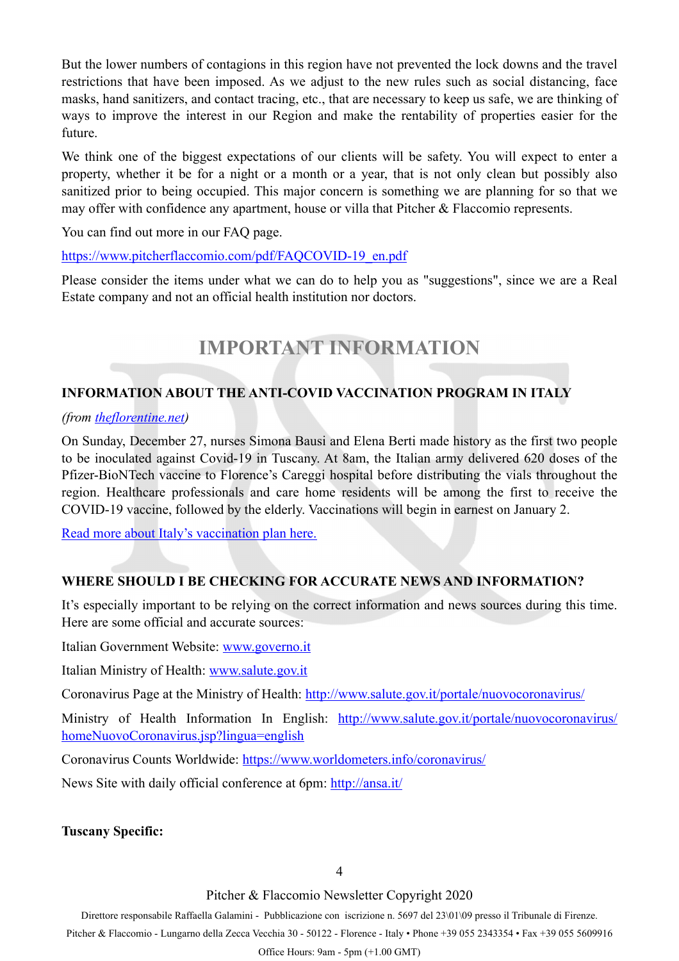But the lower numbers of contagions in this region have not prevented the lock downs and the travel restrictions that have been imposed. As we adjust to the new rules such as social distancing, face masks, hand sanitizers, and contact tracing, etc., that are necessary to keep us safe, we are thinking of ways to improve the interest in our Region and make the rentability of properties easier for the future.

We think one of the biggest expectations of our clients will be safety. You will expect to enter a property, whether it be for a night or a month or a year, that is not only clean but possibly also sanitized prior to being occupied. This major concern is something we are planning for so that we may offer with confidence any apartment, house or villa that Pitcher & Flaccomio represents.

You can find out more in our FAQ page.

### [https://www.pitcherflaccomio.com/pdf/FAQCOVID-19\\_en.pdf](https://www.pitcherflaccomio.com/pdf/FAQCOVID-19_en.pdf)

Please consider the items under what we can do to help you as "suggestions", since we are a Real Estate company and not an official health institution nor doctors.

# <span id="page-3-0"></span>**IMPORTANT INFORMATION**

# **INFORMATION ABOUT THE ANTI-COVID VACCINATION PROGRAM IN ITALY**

### *(from [theflorentine.net\)](http://theflorentine.net)*

On Sunday, December 27, nurses Simona Bausi and Elena Berti made history as the first two people to be inoculated against Covid-19 in Tuscany. At 8am, the Italian army delivered 620 doses of the Pfizer-BioNTech vaccine to Florence's Careggi hospital before distributing the vials throughout the region. Healthcare professionals and care home residents will be among the first to receive the COVID-19 vaccine, followed by the elderly. Vaccinations will begin in earnest on January 2.

[Read more about Italy's vaccination plan here.](https://theflorentine.us2.list-manage.com/track/click?u=eee504ae810d1c297cb1f6832&id=8257fac15b&e=45e6e6f394)

# **WHERE SHOULD I BE CHECKING FOR ACCURATE NEWS AND INFORMATION?**

It's especially important to be relying on the correct information and news sources during this time. Here are some official and accurate sources:

Italian Government Website: [www.governo.it](http://www.governo.it)

Italian Ministry of Health: [www.salute.gov.it](http://www.salute.gov.it/?fbclid=IwAR37pZhesC9o9nGmkzkeY2CGYt-hSECzU72KRLH8WRUgJwTd85mD2KS_mvg)

Coronavirus Page at the Ministry of Health: [http://www.salute.gov.it/portale/nuovocoronavirus/](http://www.salute.gov.it/portale/nuovocoronavirus/dettaglioContenutiNuovoCoronavirus.jsp?lingua=italiano&id=5351&area=nuovoCoronavirus&menu=vuoto)

Ministry of Health Information In English: [http://www.salute.gov.it/portale/nuovocoronavirus/](http://www.salute.gov.it/portale/nuovocoronavirus/homeNuovoCoronavirus.jsp?lingua=english) [homeNuovoCoronavirus.jsp?lingua=english](http://www.salute.gov.it/portale/nuovocoronavirus/homeNuovoCoronavirus.jsp?lingua=english)

Coronavirus Counts Worldwide:<https://www.worldometers.info/coronavirus/>

News Site with daily official conference at 6pm: <http://ansa.it/>

## **Tuscany Specific:**

4

Pitcher & Flaccomio Newsletter Copyright 2020

Direttore responsabile Raffaella Galamini - Pubblicazione con iscrizione n. 5697 del 23\01\09 presso il Tribunale di Firenze.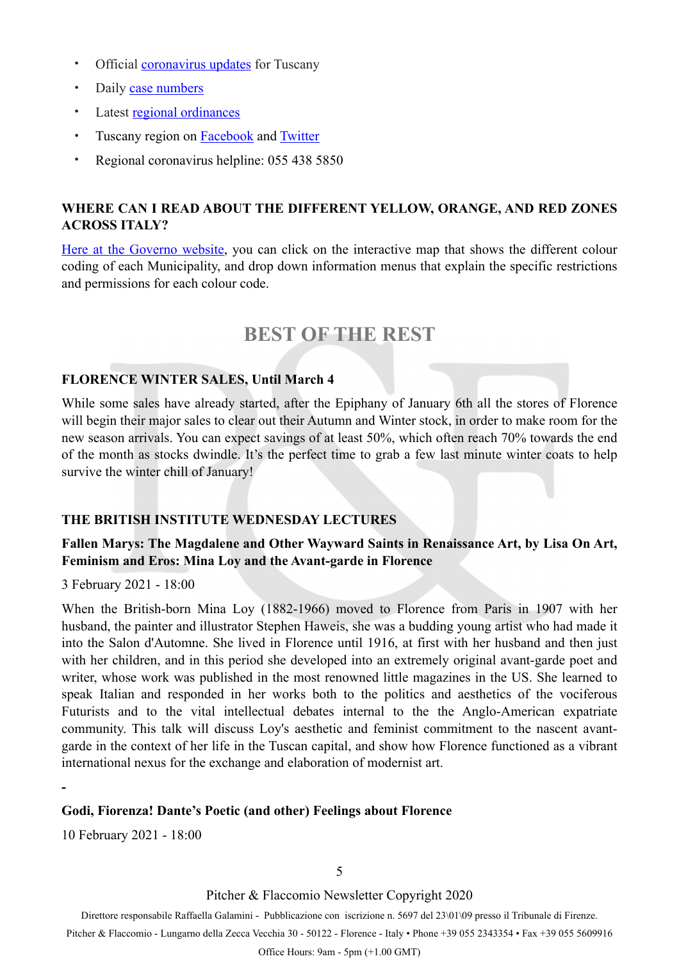- Official **[coronavirus updates](https://www.regione.toscana.it/-/coronavirus)** for Tuscany
- Daily [case numbers](https://github.com/pcm-dpc/COVID-19/blob/master/schede-riepilogative/regioni/dpc-covid19-ita-scheda-regioni-latest.pdf)
- Latest [regional ordinances](https://www.regione.toscana.it/-/ordinanze-della-regione-toscana)
- Tuscany region on **[Facebook](https://www.facebook.com/regionetoscana.paginaufficiale/)** and **[Twitter](https://twitter.com/regionetoscana)**
- Regional coronavirus helpline: 055 438 5850

# **WHERE CAN I READ ABOUT THE DIFFERENT YELLOW, ORANGE, AND RED ZONES ACROSS ITALY?**

[Here at the Governo website](http://www.governo.it/it/articolo/domande-frequenti-sulle-misure-adottate-dal-governo/15638#zone), you can click on the interactive map that shows the different colour coding of each Municipality, and drop down information menus that explain the specific restrictions and permissions for each colour code.

# <span id="page-4-0"></span>**BEST OF THE REST**

## **FLORENCE WINTER SALES, Until March 4**

While some sales have already started, after the Epiphany of January 6th all the stores of Florence will begin their major sales to clear out their Autumn and Winter stock, in order to make room for the new season arrivals. You can expect savings of at least 50%, which often reach 70% towards the end of the month as stocks dwindle. It's the perfect time to grab a few last minute winter coats to help survive the winter chill of January!

## **THE BRITISH INSTITUTE WEDNESDAY LECTURES**

## **Fallen Marys: The Magdalene and Other Wayward Saints in Renaissance Art, by Lisa On Art, Feminism and Eros: Mina Loy and the Avant-garde in Florence**

3 February 2021 - 18:00

When the British-born Mina Loy (1882-1966) moved to Florence from Paris in 1907 with her husband, the painter and illustrator Stephen Haweis, she was a budding young artist who had made it into the Salon d'Automne. She lived in Florence until 1916, at first with her husband and then just with her children, and in this period she developed into an extremely original avant-garde poet and writer, whose work was published in the most renowned little magazines in the US. She learned to speak Italian and responded in her works both to the politics and aesthetics of the vociferous Futurists and to the vital intellectual debates internal to the the Anglo-American expatriate community. This talk will discuss Loy's aesthetic and feminist commitment to the nascent avantgarde in the context of her life in the Tuscan capital, and show how Florence functioned as a vibrant international nexus for the exchange and elaboration of modernist art.

**-** 

## **Godi, Fiorenza! Dante's Poetic (and other) Feelings about Florence**

10 February 2021 - 18:00

Pitcher & Flaccomio Newsletter Copyright 2020

Direttore responsabile Raffaella Galamini - Pubblicazione con iscrizione n. 5697 del 23\01\09 presso il Tribunale di Firenze.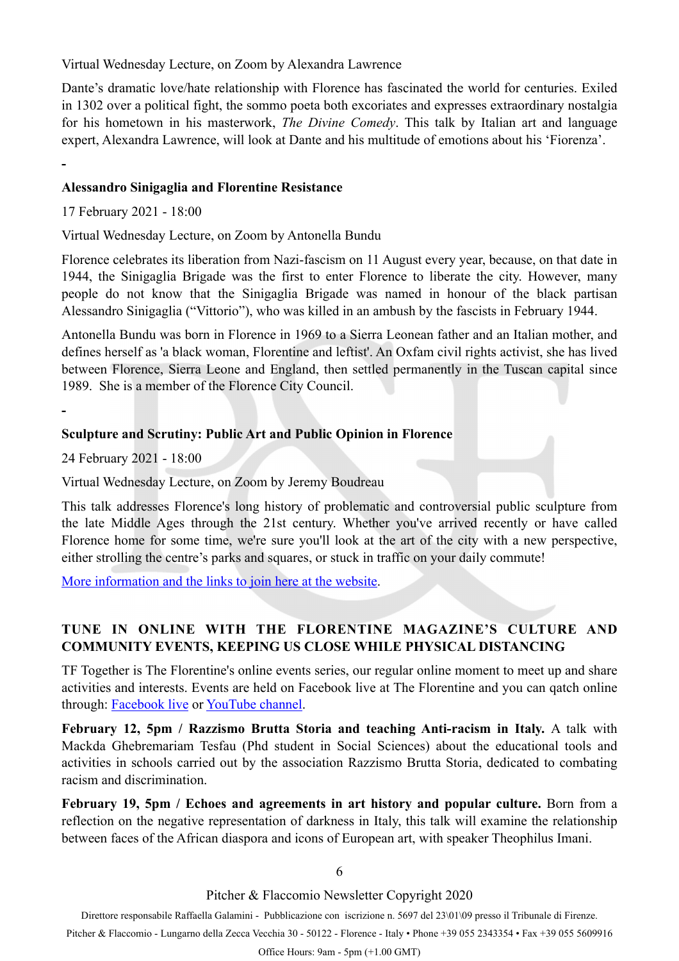Virtual Wednesday Lecture, on Zoom by Alexandra Lawrence

Dante's dramatic love/hate relationship with Florence has fascinated the world for centuries. Exiled in 1302 over a political fight, the sommo poeta both excoriates and expresses extraordinary nostalgia for his hometown in his masterwork, *The Divine Comedy*. This talk by Italian art and language expert, Alexandra Lawrence, will look at Dante and his multitude of emotions about his 'Fiorenza'.

**-** 

**-** 

### **Alessandro Sinigaglia and Florentine Resistance**

17 February 2021 - 18:00

Virtual Wednesday Lecture, on Zoom by Antonella Bundu

Florence celebrates its liberation from Nazi-fascism on 11 August every year, because, on that date in 1944, the Sinigaglia Brigade was the first to enter Florence to liberate the city. However, many people do not know that the Sinigaglia Brigade was named in honour of the black partisan Alessandro Sinigaglia ("Vittorio"), who was killed in an ambush by the fascists in February 1944.

Antonella Bundu was born in Florence in 1969 to a Sierra Leonean father and an Italian mother, and defines herself as 'a black woman, Florentine and leftist'. An Oxfam civil rights activist, she has lived between Florence, Sierra Leone and England, then settled permanently in the Tuscan capital since 1989. She is a member of the Florence City Council.

### **Sculpture and Scrutiny: Public Art and Public Opinion in Florence**

24 February 2021 - 18:00

Virtual Wednesday Lecture, on Zoom by Jeremy Boudreau

This talk addresses Florence's long history of problematic and controversial public sculpture from the late Middle Ages through the 21st century. Whether you've arrived recently or have called Florence home for some time, we're sure you'll look at the art of the city with a new perspective, either strolling the centre's parks and squares, or stuck in traffic on your daily commute!

[More information and the links to join here at the website.](https://www.britishinstitute.it/en/news-events/events/wednesday-lectures)

# **TUNE IN ONLINE WITH THE FLORENTINE MAGAZINE'S CULTURE AND COMMUNITY EVENTS, KEEPING US CLOSE WHILE PHYSICAL DISTANCING**

TF Together is The Florentine's online events series, our regular online moment to meet up and share activities and interests. Events are held on Facebook live at The Florentine and you can qatch online through: [Facebook live](https://www.facebook.com/tfnews/live_videos) or [YouTube channel.](https://www.youtube.com/user/TheFlorentineNews)

**February 12, 5pm / Razzismo Brutta Storia and teaching Anti-racism in Italy.** A talk with Mackda Ghebremariam Tesfau (Phd student in Social Sciences) about the educational tools and activities in schools carried out by the association Razzismo Brutta Storia, dedicated to combating racism and discrimination.

**February 19, 5pm / Echoes and agreements in art history and popular culture.** Born from a reflection on the negative representation of darkness in Italy, this talk will examine the relationship between faces of the African diaspora and icons of European art, with speaker Theophilus Imani.

6

#### Pitcher & Flaccomio Newsletter Copyright 2020

Direttore responsabile Raffaella Galamini - Pubblicazione con iscrizione n. 5697 del 23\01\09 presso il Tribunale di Firenze.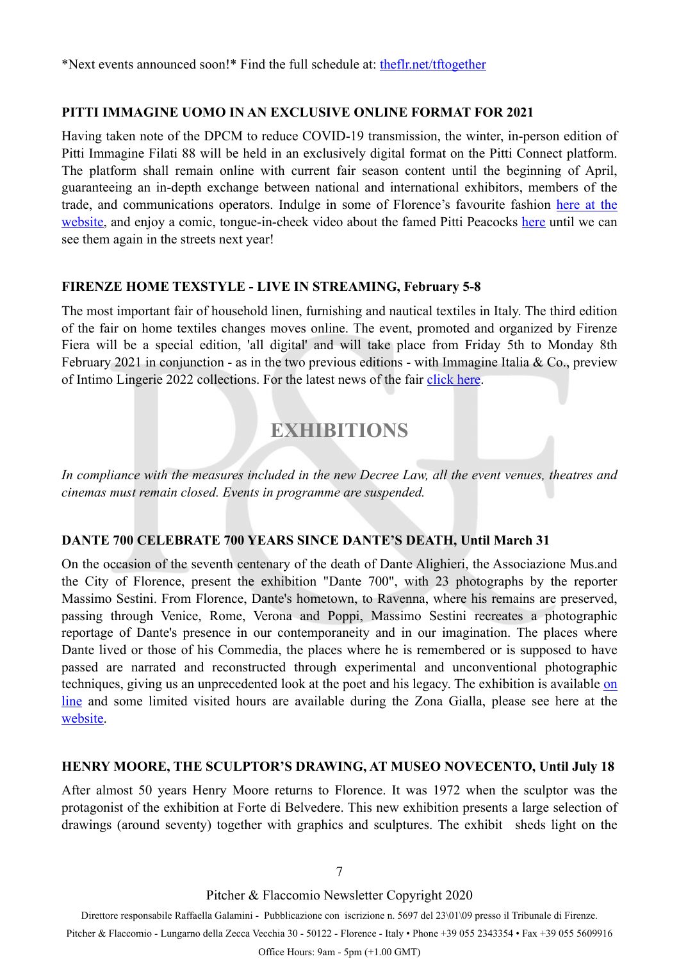\*Next events announced soon!\* Find the full schedule at: [theflr.net/tftogether](http://theflr.net/tftogether)

## **PITTI IMMAGINE UOMO IN AN EXCLUSIVE ONLINE FORMAT FOR 2021**

Having taken note of the DPCM to reduce COVID-19 transmission, the winter, in-person edition of Pitti Immagine Filati 88 will be held in an exclusively digital format on the Pitti Connect platform. The platform shall remain online with current fair season content until the beginning of April, guaranteeing an in-depth exchange between national and international exhibitors, members of the trade, and communications operators. Indulge in some of Florence's favourite fashion [here at the](https://filati.pittimmagine.com/en/news/pitti-connect)  [website,](https://filati.pittimmagine.com/en/news/pitti-connect) and enjoy a comic, tongue-in-cheek video about the famed Pitti Peacocks [here](https://youtu.be/cGeMTQoGq8w) until we can see them again in the streets next year!

### **FIRENZE HOME TEXSTYLE - LIVE IN STREAMING, February 5-8**

The most important fair of household linen, furnishing and nautical textiles in Italy. The third edition of the fair on home textiles changes moves online. The event, promoted and organized by Firenze Fiera will be a special edition, 'all digital' and will take place from Friday 5th to Monday 8th February 2021 in conjunction - as in the two previous editions - with Immagine Italia & Co., preview of Intimo Lingerie 2022 collections. For the latest news of the fair [click here](https://www.facebook.com/FirenzeHomeTexstyle/).

# <span id="page-6-0"></span>**EXHIBITIONS**

*In compliance with the measures included in the new Decree Law, all the event venues, theatres and cinemas must remain closed. Events in programme are suspended.* 

## **DANTE 700 CELEBRATE 700 YEARS SINCE DANTE'S DEATH, Until March 31**

On the occasion of the seventh centenary of the death of Dante Alighieri, the Associazione Mus.and the City of Florence, present the exhibition "Dante 700", with 23 photographs by the reporter Massimo Sestini. From Florence, Dante's hometown, to Ravenna, where his remains are preserved, passing through Venice, Rome, Verona and Poppi, Massimo Sestini recreates a photographic reportage of Dante's presence in our contemporaneity and in our imagination. The places where Dante lived or those of his Commedia, the places where he is remembered or is supposed to have passed are narrated and reconstructed through experimental and unconventional photographic techniques, giving us an unprecedented look at the poet and his legacy. The exhibition is available [on](http://musefirenze.it/dante700virtualtour/) [line](http://musefirenze.it/dante700virtualtour/) and some limited visited hours are available during the Zona Gialla, please see here at the [website.](http://musefirenze.it/en/mostre/dante-700-santa-maria-novella/)

## **HENRY MOORE, THE SCULPTOR'S DRAWING, AT MUSEO NOVECENTO, Until July 18**

After almost 50 years Henry Moore returns to Florence. It was 1972 when the sculptor was the protagonist of the exhibition at Forte di Belvedere. This new exhibition presents a large selection of drawings (around seventy) together with graphics and sculptures. The exhibit sheds light on the

7

Pitcher & Flaccomio Newsletter Copyright 2020

Direttore responsabile Raffaella Galamini - Pubblicazione con iscrizione n. 5697 del 23\01\09 presso il Tribunale di Firenze.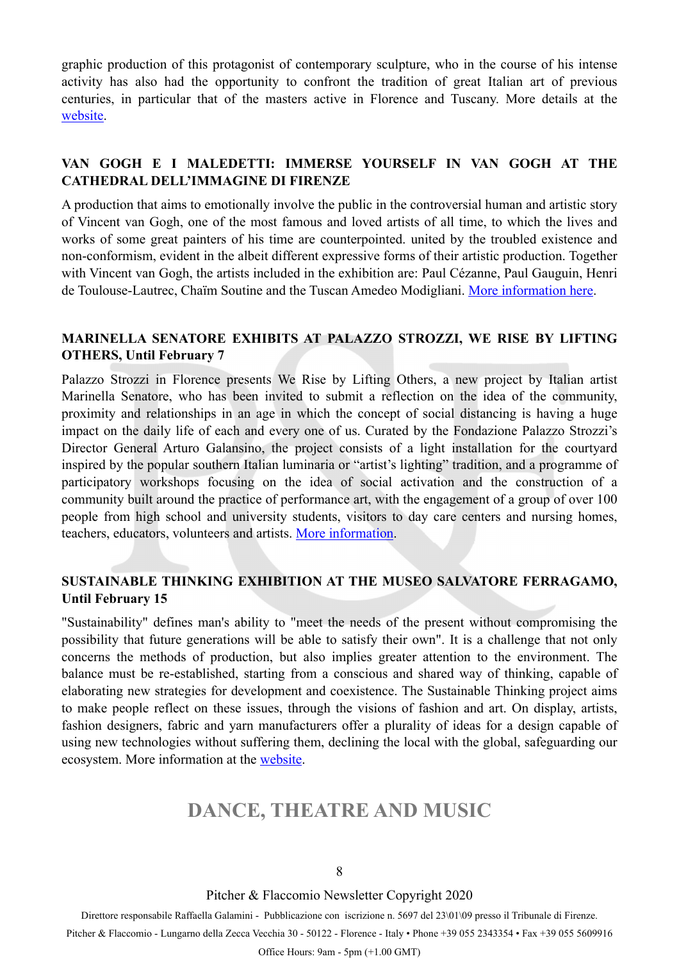graphic production of this protagonist of contemporary sculpture, who in the course of his intense activity has also had the opportunity to confront the tradition of great Italian art of previous centuries, in particular that of the masters active in Florence and Tuscany. More details at the [website.](http://www.museonovecento.it/en/)

## **VAN GOGH E I MALEDETTI: IMMERSE YOURSELF IN VAN GOGH AT THE CATHEDRAL DELL'IMMAGINE DI FIRENZE**

A production that aims to emotionally involve the public in the controversial human and artistic story of Vincent van Gogh, one of the most famous and loved artists of all time, to which the lives and works of some great painters of his time are counterpointed. united by the troubled existence and non-conformism, evident in the albeit different expressive forms of their artistic production. Together with Vincent van Gogh, the artists included in the exhibition are: Paul Cézanne, Paul Gauguin, Henri de Toulouse-Lautrec, Chaïm Soutine and the Tuscan Amedeo Modigliani. [More information here.](https://vangogheimaledetti.com)

# **MARINELLA SENATORE EXHIBITS AT PALAZZO STROZZI, WE RISE BY LIFTING OTHERS, Until February 7**

Palazzo Strozzi in Florence presents We Rise by Lifting Others, a new project by Italian artist Marinella Senatore, who has been invited to submit a reflection on the idea of the community, proximity and relationships in an age in which the concept of social distancing is having a huge impact on the daily life of each and every one of us. Curated by the Fondazione Palazzo Strozzi's Director General Arturo Galansino, the project consists of a light installation for the courtyard inspired by the popular southern Italian luminaria or "artist's lighting" tradition, and a [programme of](https://www.palazzostrozzi.org/en/marinella-senatore-workshop/)  [participatory workshops](https://www.palazzostrozzi.org/en/marinella-senatore-workshop/) focusing on the idea of social activation and the construction of a community built around the practice of performance art, with the engagement of a group of over 100 people from high school and university students, visitors to day care centers and nursing homes, teachers, educators, volunteers and artists. [More information.](https://www.palazzostrozzi.org)

## **SUSTAINABLE THINKING EXHIBITION AT THE MUSEO SALVATORE FERRAGAMO, Until February 15**

"Sustainability" defines man's ability to "meet the needs of the present without compromising the possibility that future generations will be able to satisfy their own". It is a challenge that not only concerns the methods of production, but also implies greater attention to the environment. The balance must be re-established, starting from a conscious and shared way of thinking, capable of elaborating new strategies for development and coexistence. The Sustainable Thinking project aims to make people reflect on these issues, through the visions of fashion and art. On display, artists, fashion designers, fabric and yarn manufacturers offer a plurality of ideas for a design capable of using new technologies without suffering them, declining the local with the global, safeguarding our ecosystem. More information at the [website.](https://www.ferragamo.com/museo/it/ita/mostre)

# <span id="page-7-0"></span>**DANCE, THEATRE AND MUSIC**

Pitcher & Flaccomio Newsletter Copyright 2020

Direttore responsabile Raffaella Galamini - Pubblicazione con iscrizione n. 5697 del 23\01\09 presso il Tribunale di Firenze.

Pitcher & Flaccomio - Lungarno della Zecca Vecchia 30 - 50122 - Florence - Italy • Phone +39 055 2343354 • Fax +39 055 5609916

Office Hours: 9am - 5pm (+1.00 GMT)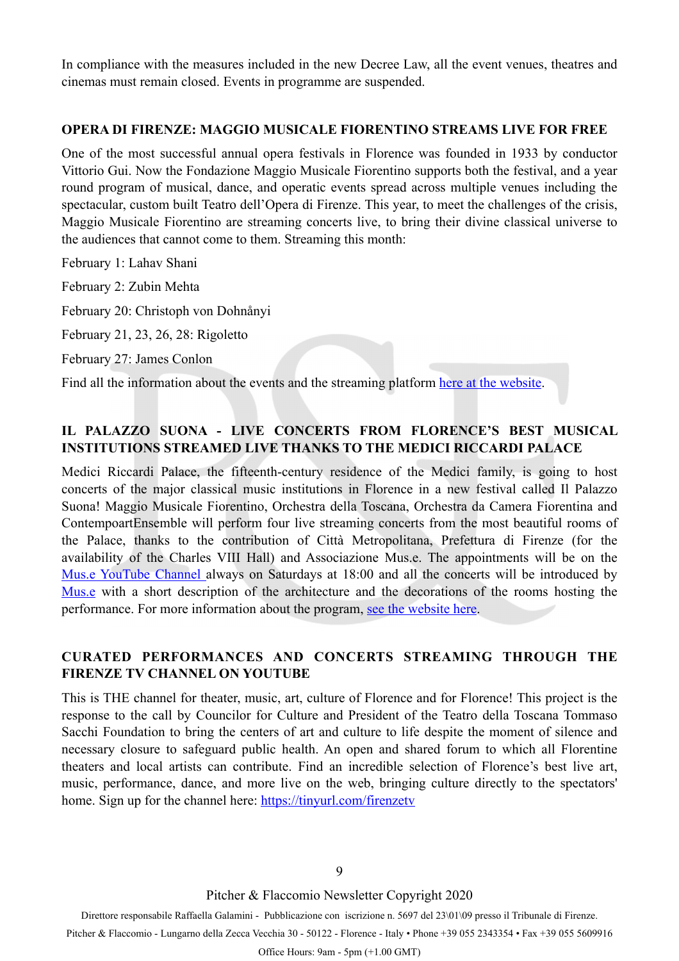In compliance with the measures included in the new Decree Law, all the event venues, theatres and cinemas must remain closed. Events in programme are suspended.

### **OPERA DI FIRENZE: MAGGIO MUSICALE FIORENTINO STREAMS LIVE FOR FREE**

One of the most successful annual opera festivals in Florence was founded in 1933 by conductor Vittorio Gui. Now the Fondazione Maggio Musicale Fiorentino supports both the festival, and a year round program of musical, dance, and operatic events spread across multiple venues including the spectacular, custom built Teatro dell'Opera di Firenze. This year, to meet the challenges of the crisis, Maggio Musicale Fiorentino are streaming concerts live, to bring their divine classical universe to the audiences that cannot come to them. Streaming this month:

February 1: Lahav Shani

February 2: Zubin Mehta

February 20: Christoph von Dohnånyi

February 21, 23, 26, 28: Rigoletto

February 27: James Conlon

Find all the information about the events and the streaming platform [here at the website.](https://www.maggiofiorentino.com)

# **IL PALAZZO SUONA - LIVE CONCERTS FROM FLORENCE'S BEST MUSICAL INSTITUTIONS STREAMED LIVE THANKS TO THE MEDICI RICCARDI PALACE**

Medici Riccardi Palace, the fifteenth-century residence of the Medici family, is going to host concerts of the major classical music institutions in Florence in a new festival called Il Palazzo Suona! Maggio Musicale Fiorentino, Orchestra della Toscana, Orchestra da Camera Fiorentina and ContempoartEnsemble will perform four live streaming concerts from the most beautiful rooms of the Palace, thanks to the contribution of Città Metropolitana, Prefettura di Firenze (for the availability of the Charles VIII Hall) and Associazione Mus.e. The appointments will be on the [Mus.e YouTube Channel](https://www.youtube.com/user/RagazziFirenze) always on Saturdays at 18:00 and all the concerts will be introduced by [Mus.e](http://musefirenze.it/en/) with a short description of the architecture and the decorations of the rooms hosting the performance. For more information about the program, [see the website here.](https://www.palazzomediciriccardi.it/project/il-palazzo-suona/)

## **CURATED PERFORMANCES AND CONCERTS STREAMING THROUGH THE FIRENZE TV CHANNEL ON YOUTUBE**

This is THE channel for theater, music, art, culture of Florence and for Florence! This project is the response to the call by Councilor for Culture and President of the Teatro della Toscana Tommaso Sacchi Foundation to bring the centers of art and culture to life despite the moment of silence and necessary closure to safeguard public health. An open and shared forum to which all Florentine theaters and local artists can contribute. Find an incredible selection of Florence's best live art, music, performance, dance, and more live on the web, bringing culture directly to the spectators' home. Sign up for the channel here: <https://tinyurl.com/firenzetv>

Pitcher & Flaccomio Newsletter Copyright 2020

Direttore responsabile Raffaella Galamini - Pubblicazione con iscrizione n. 5697 del 23\01\09 presso il Tribunale di Firenze. Pitcher & Flaccomio - Lungarno della Zecca Vecchia 30 - 50122 - Florence - Italy • Phone +39 055 2343354 • Fax +39 055 5609916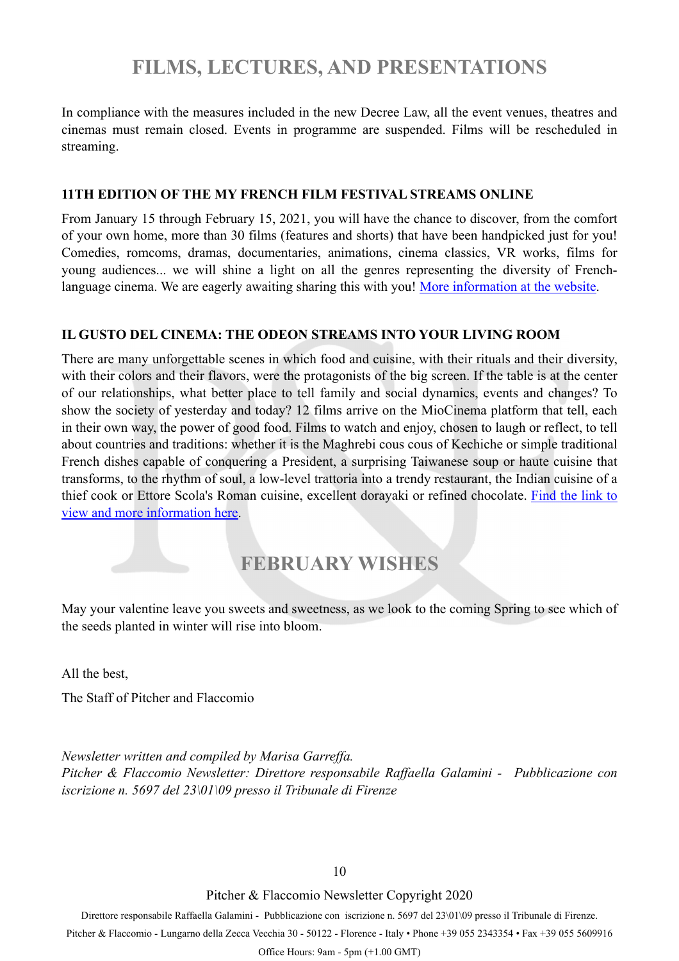# <span id="page-9-0"></span>**FILMS, LECTURES, AND PRESENTATIONS**

In compliance with the measures included in the new Decree Law, all the event venues, theatres and cinemas must remain closed. Events in programme are suspended. Films will be rescheduled in streaming.

### **11TH EDITION OF THE MY FRENCH FILM FESTIVAL STREAMS ONLINE**

From January 15 through February 15, 2021, you will have the chance to discover, from the comfort of your own home, more than 30 films (features and shorts) that have been handpicked just for you! Comedies, romcoms, dramas, documentaries, animations, cinema classics, VR works, films for young audiences... we will shine a light on all the genres representing the diversity of French-language cinema. We are eagerly awaiting sharing this with you! [More information at the website](https://www.myfrenchfilmfestival.com/en/).

### **IL GUSTO DEL CINEMA: THE ODEON STREAMS INTO YOUR LIVING ROOM**

There are many unforgettable scenes in which food and cuisine, with their rituals and their diversity, with their colors and their flavors, were the protagonists of the big screen. If the table is at the center of our relationships, what better place to tell family and social dynamics, events and changes? To show the society of yesterday and today? 12 films arrive on the MioCinema platform that tell, each in their own way, the power of good food. Films to watch and enjoy, chosen to laugh or reflect, to tell about countries and traditions: whether it is the Maghrebi cous cous of Kechiche or simple traditional French dishes capable of conquering a President, a surprising Taiwanese soup or haute cuisine that transforms, to the rhythm of soul, a low-level trattoria into a trendy restaurant, the Indian cuisine of a thief cook or Ettore Scola's Roman cuisine, excellent dorayaki or refined chocolate. [Find the link to](http://www.odeonfirenze.com/29313-2/) [view and more information here.](http://www.odeonfirenze.com/29313-2/)

# **FEBRUARY WISHES**

May your valentine leave you sweets and sweetness, as we look to the coming Spring to see which of the seeds planted in winter will rise into bloom.

All the best,

The Staff of Pitcher and Flaccomio

*Newsletter written and compiled by Marisa Garreffa. Pitcher & Flaccomio Newsletter: Direttore responsabile Raffaella Galamini - Pubblicazione con iscrizione n. 5697 del 23\01\09 presso il Tribunale di Firenze* 

10

Pitcher & Flaccomio Newsletter Copyright 2020

Direttore responsabile Raffaella Galamini - Pubblicazione con iscrizione n. 5697 del 23\01\09 presso il Tribunale di Firenze.

Pitcher & Flaccomio - Lungarno della Zecca Vecchia 30 - 50122 - Florence - Italy • Phone +39 055 2343354 • Fax +39 055 5609916

Office Hours: 9am - 5pm (+1.00 GMT)